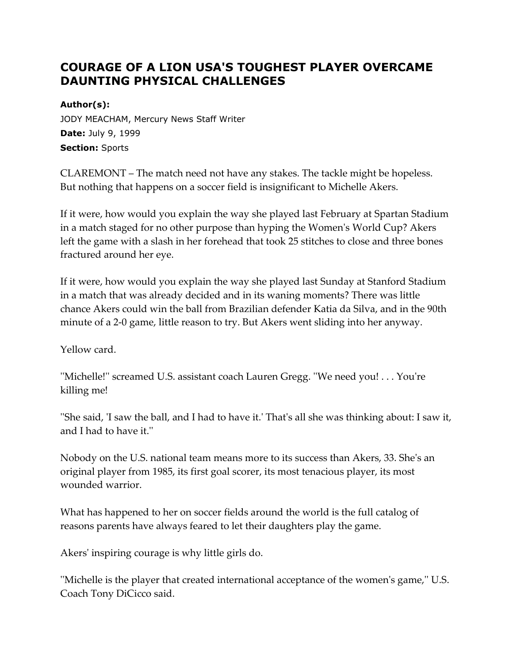## **COURAGE OF A LION USA'S TOUGHEST PLAYER OVERCAME DAUNTING PHYSICAL CHALLENGES**

**Author(s):** JODY MEACHAM, Mercury News Staff Writer **Date:** July 9, 1999 **Section:** Sports

CLAREMONT – The match need not have any stakes. The tackle might be hopeless. But nothing that happens on a soccer field is insignificant to Michelle Akers.

If it were, how would you explain the way she played last February at Spartan Stadium in a match staged for no other purpose than hyping the Women's World Cup? Akers left the game with a slash in her forehead that took 25 stitches to close and three bones fractured around her eye.

If it were, how would you explain the way she played last Sunday at Stanford Stadium in a match that was already decided and in its waning moments? There was little chance Akers could win the ball from Brazilian defender Katia da Silva, and in the 90th minute of a 2-0 game, little reason to try. But Akers went sliding into her anyway.

Yellow card.

''Michelle!'' screamed U.S. assistant coach Lauren Gregg. ''We need you! . . . You're killing me!

''She said, 'I saw the ball, and I had to have it.' That's all she was thinking about: I saw it, and I had to have it.''

Nobody on the U.S. national team means more to its success than Akers, 33. She's an original player from 1985, its first goal scorer, its most tenacious player, its most wounded warrior.

What has happened to her on soccer fields around the world is the full catalog of reasons parents have always feared to let their daughters play the game.

Akers' inspiring courage is why little girls do.

''Michelle is the player that created international acceptance of the women's game,'' U.S. Coach Tony DiCicco said.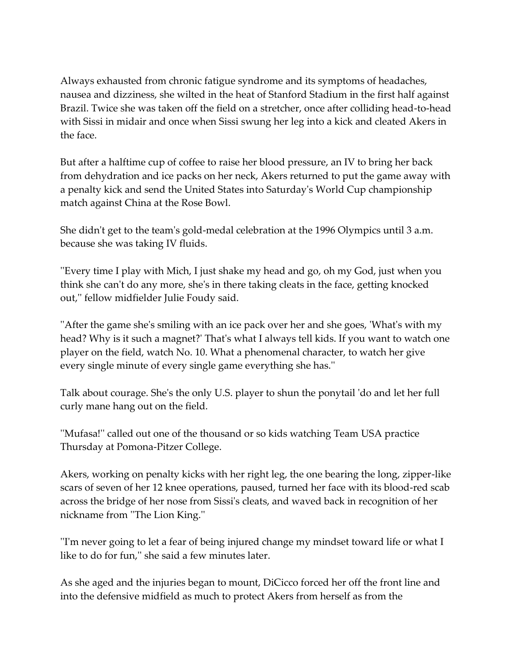Always exhausted from chronic fatigue syndrome and its symptoms of headaches, nausea and dizziness, she wilted in the heat of Stanford Stadium in the first half against Brazil. Twice she was taken off the field on a stretcher, once after colliding head-to-head with Sissi in midair and once when Sissi swung her leg into a kick and cleated Akers in the face.

But after a halftime cup of coffee to raise her blood pressure, an IV to bring her back from dehydration and ice packs on her neck, Akers returned to put the game away with a penalty kick and send the United States into Saturday's World Cup championship match against China at the Rose Bowl.

She didn't get to the team's gold-medal celebration at the 1996 Olympics until 3 a.m. because she was taking IV fluids.

''Every time I play with Mich, I just shake my head and go, oh my God, just when you think she can't do any more, she's in there taking cleats in the face, getting knocked out,'' fellow midfielder Julie Foudy said.

''After the game she's smiling with an ice pack over her and she goes, 'What's with my head? Why is it such a magnet?' That's what I always tell kids. If you want to watch one player on the field, watch No. 10. What a phenomenal character, to watch her give every single minute of every single game everything she has.''

Talk about courage. She's the only U.S. player to shun the ponytail 'do and let her full curly mane hang out on the field.

''Mufasa!'' called out one of the thousand or so kids watching Team USA practice Thursday at Pomona-Pitzer College.

Akers, working on penalty kicks with her right leg, the one bearing the long, zipper-like scars of seven of her 12 knee operations, paused, turned her face with its blood-red scab across the bridge of her nose from Sissi's cleats, and waved back in recognition of her nickname from ''The Lion King.''

''I'm never going to let a fear of being injured change my mindset toward life or what I like to do for fun,'' she said a few minutes later.

As she aged and the injuries began to mount, DiCicco forced her off the front line and into the defensive midfield as much to protect Akers from herself as from the